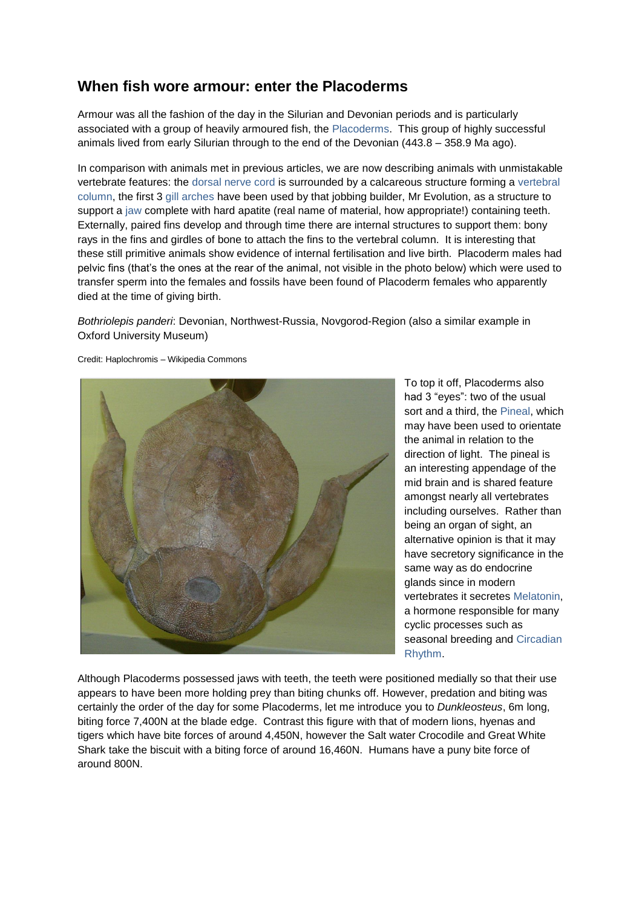## **When fish wore armour: enter the Placoderms**

Armour was all the fashion of the day in the Silurian and Devonian periods and is particularly associated with a group of heavily armoured fish, the Placoderms. This group of highly successful animals lived from early Silurian through to the end of the Devonian (443.8 – 358.9 Ma ago).

In comparison with animals met in previous articles, we are now describing animals with unmistakable vertebrate features: the dorsal nerve cord is surrounded by a calcareous structure forming a vertebral column, the first 3 gill arches have been used by that jobbing builder, Mr Evolution, as a structure to support a jaw complete with hard apatite (real name of material, how appropriate!) containing teeth. Externally, paired fins develop and through time there are internal structures to support them: bony rays in the fins and girdles of bone to attach the fins to the vertebral column. It is interesting that these still primitive animals show evidence of internal fertilisation and live birth. Placoderm males had pelvic fins (that's the ones at the rear of the animal, not visible in the photo below) which were used to transfer sperm into the females and fossils have been found of Placoderm females who apparently died at the time of giving birth.

*Bothriolepis panderi*: [Devonian,](https://commons.wikimedia.org/wiki/Category:Devonian) Northwest-Russia, Novgorod-Region (also a similar example in Oxford University Museum)



Credit: Haplochromis – Wikipedia Commons

To top it off, Placoderms also had 3 "eyes": two of the usual sort and a third, the Pineal, which may have been used to orientate the animal in relation to the direction of light. The pineal is an interesting appendage of the mid brain and is shared feature amongst nearly all vertebrates including ourselves. Rather than being an organ of sight, an alternative opinion is that it may have secretory significance in the same way as do endocrine glands since in modern vertebrates it secretes Melatonin, a hormone responsible for many cyclic processes such as seasonal breeding and Circadian Rhythm.

Although Placoderms possessed jaws with teeth, the teeth were positioned medially so that their use appears to have been more holding prey than biting chunks off. However, predation and biting was certainly the order of the day for some Placoderms, let me introduce you to *Dunkleosteus*, 6m long, biting force 7,400N at the blade edge. Contrast this figure with that of modern lions, hyenas and tigers which have bite forces of around 4,450N, however the Salt water Crocodile and Great White Shark take the biscuit with a biting force of around 16,460N. Humans have a puny bite force of around 800N.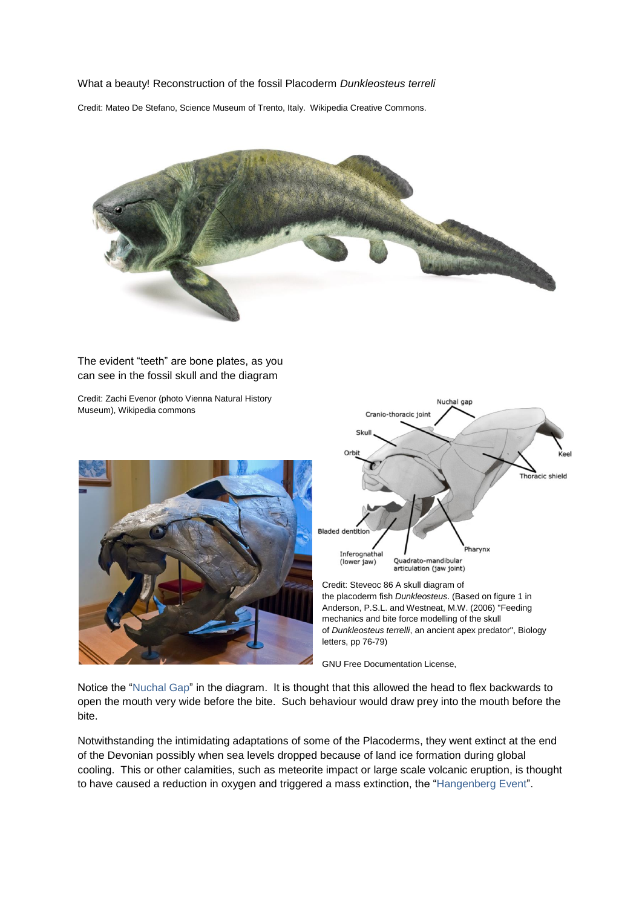## What a beauty! Reconstruction of the fossil Placoderm *Dunkleosteus terreli*

Credit: Mateo De Stefano, Science Museum of Trento, Italy. Wikipedia Creative Commons.



The evident "teeth" are bone plates, as you can see in the fossil skull and the diagram

Credit: Zachi Evenor (photo Vienna Natural History Museum), Wikipedia commons





Credit[: Steveoc 86](https://commons.wikimedia.org/wiki/User:Steveoc_86) A skull diagram of the [placoderm](https://en.wikipedia.org/wiki/Placodermi) [fish](https://en.wikipedia.org/wiki/Fish) *[Dunkleosteus](https://en.wikipedia.org/wiki/Dunkleosteus)*. (Based on figure 1 in Anderson, P.S.L. and Westneat, M.W. (2006) ["Feeding](http://fm1.fieldmuseum.org/aa/Files/westneat/Dunk06.pdf)  [mechanics and bite force modelling of the skull](http://fm1.fieldmuseum.org/aa/Files/westneat/Dunk06.pdf)  of *Dunkleosteus terrelli*[, an ancient apex predator"](http://fm1.fieldmuseum.org/aa/Files/westneat/Dunk06.pdf), Biology letters, pp 76-79)

[GNU Free Documentation License,](https://en.wikipedia.org/wiki/en:GNU_Free_Documentation_License)

Notice the "Nuchal Gap" in the diagram. It is thought that this allowed the head to flex backwards to open the mouth very wide before the bite. Such behaviour would draw prey into the mouth before the bite.

Notwithstanding the intimidating adaptations of some of the Placoderms, they went extinct at the end of the Devonian possibly when sea levels dropped because of land ice formation during global cooling. This or other calamities, such as meteorite impact or large scale volcanic eruption, is thought to have caused a reduction in oxygen and triggered a mass extinction, the "Hangenberg Event".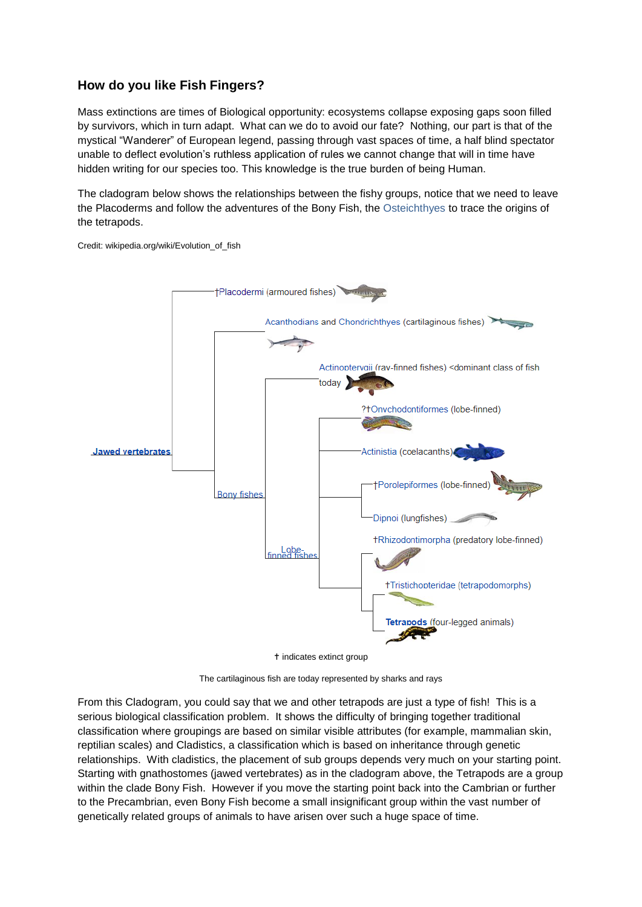## **How do you like Fish Fingers?**

Mass extinctions are times of Biological opportunity: ecosystems collapse exposing gaps soon filled by survivors, which in turn adapt. What can we do to avoid our fate? Nothing, our part is that of the mystical "Wanderer" of European legend, passing through vast spaces of time, a half blind spectator unable to deflect evolution's ruthless application of rules we cannot change that will in time have hidden writing for our species too. This knowledge is the true burden of being Human.

The cladogram below shows the relationships between the fishy groups, notice that we need to leave the Placoderms and follow the adventures of the Bony Fish, the Osteichthyes to trace the origins of the tetrapods.

Credit: wikipedia.org/wiki/Evolution\_of\_fish



t indicates extinct group

The cartilaginous fish are today represented by sharks and rays

From this Cladogram, you could say that we and other tetrapods are just a type of fish! This is a serious biological classification problem. It shows the difficulty of bringing together traditional classification where groupings are based on similar visible attributes (for example, mammalian skin, reptilian scales) and Cladistics, a classification which is based on inheritance through genetic relationships. With cladistics, the placement of sub groups depends very much on your starting point. Starting with gnathostomes (jawed vertebrates) as in the cladogram above, the Tetrapods are a group within the clade Bony Fish. However if you move the starting point back into the Cambrian or further to the Precambrian, even Bony Fish become a small insignificant group within the vast number of genetically related groups of animals to have arisen over such a huge space of time.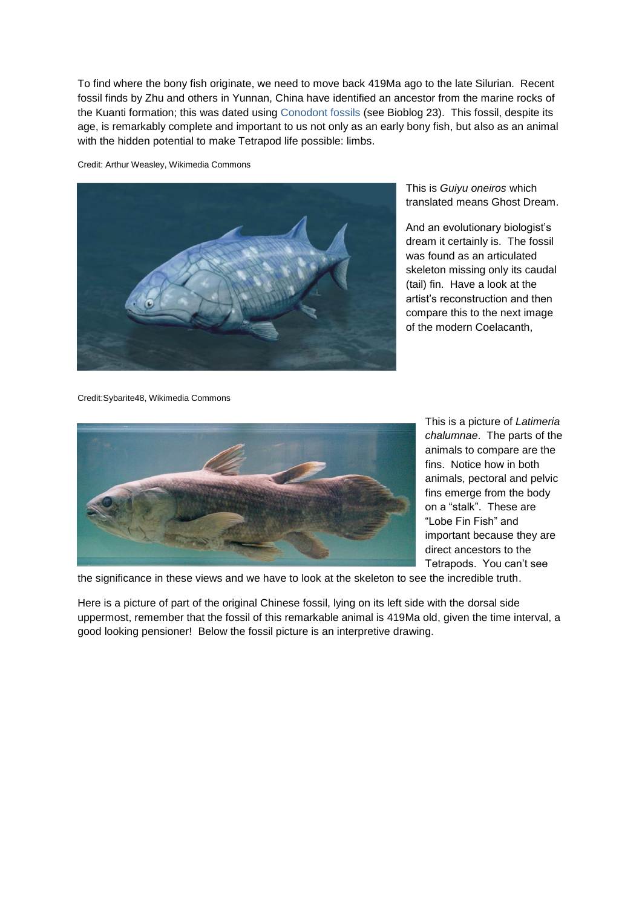To find where the bony fish originate, we need to move back 419Ma ago to the late Silurian. Recent fossil finds by Zhu and others in Yunnan, China have identified an ancestor from the marine rocks of the Kuanti formation; this was dated using Conodont fossils (see Bioblog 23). This fossil, despite its age, is remarkably complete and important to us not only as an early bony fish, but also as an animal with the hidden potential to make Tetrapod life possible: limbs.

Credit: Arthur Weasley, Wikimedia Commons



This is *Guiyu oneiros* which translated means Ghost Dream.

And an evolutionary biologist's dream it certainly is. The fossil was found as an articulated skeleton missing only its caudal (tail) fin. Have a look at the artist's reconstruction and then compare this to the next image of the modern Coelacanth,

Credit:Sybarite48, Wikimedia Commons



This is a picture of *Latimeria chalumnae*. The parts of the animals to compare are the fins. Notice how in both animals, pectoral and pelvic fins emerge from the body on a "stalk". These are "Lobe Fin Fish" and important because they are direct ancestors to the Tetrapods. You can't see

the significance in these views and we have to look at the skeleton to see the incredible truth.

Here is a picture of part of the original Chinese fossil, lying on its left side with the dorsal side uppermost, remember that the fossil of this remarkable animal is 419Ma old, given the time interval, a good looking pensioner! Below the fossil picture is an interpretive drawing.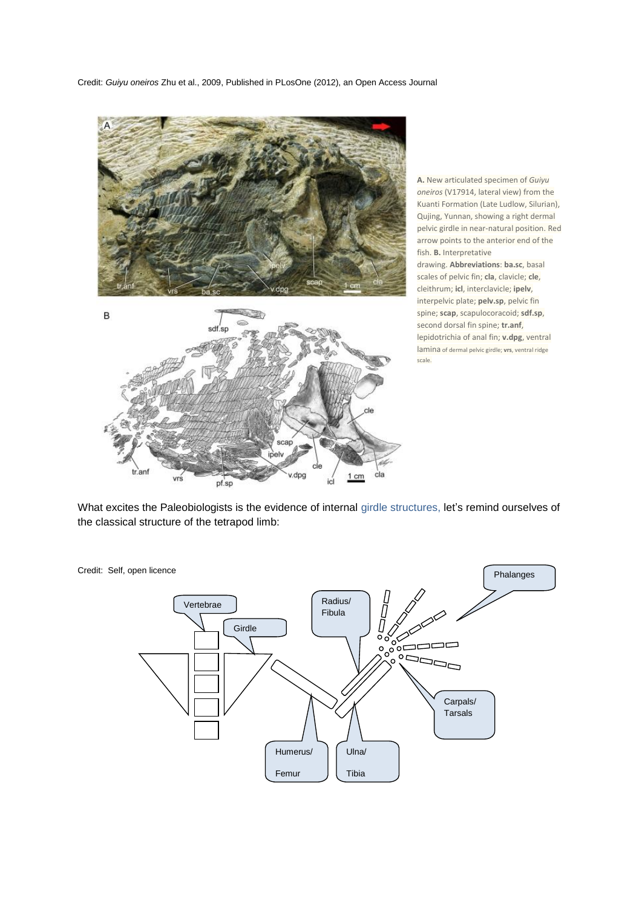Credit: *Guiyu oneiros* Zhu et al., 2009, Published in PLosOne (2012), an Open Access Journal



pf.sp

**A.** New articulated specimen of *Guiyu oneiros* (V17914, lateral view) from the Kuanti Formation (Late Ludlow, Silurian), Qujing, Yunnan, showing a right dermal pelvic girdle in near-natural position. Red arrow points to the anterior end of the fish. **B.** Interpretative drawing. **Abbreviations**: **ba.sc**, basal scales of pelvic fin; **cla**, clavicle; **cle**, cleithrum; **icl**, interclavicle; **ipelv**, interpelvic plate; **pelv.sp**, pelvic fin spine; **scap**, scapulocoracoid; **sdf.sp**, second dorsal fin spine; **tr.anf**, lepidotrichia of anal fin; **v.dpg**, ventral lamina of dermal pelvic girdle; **vrs**, ventral ridge scale.

What excites the Paleobiologists is the evidence of internal girdle structures, let's remind ourselves of the classical structure of the tetrapod limb:

id

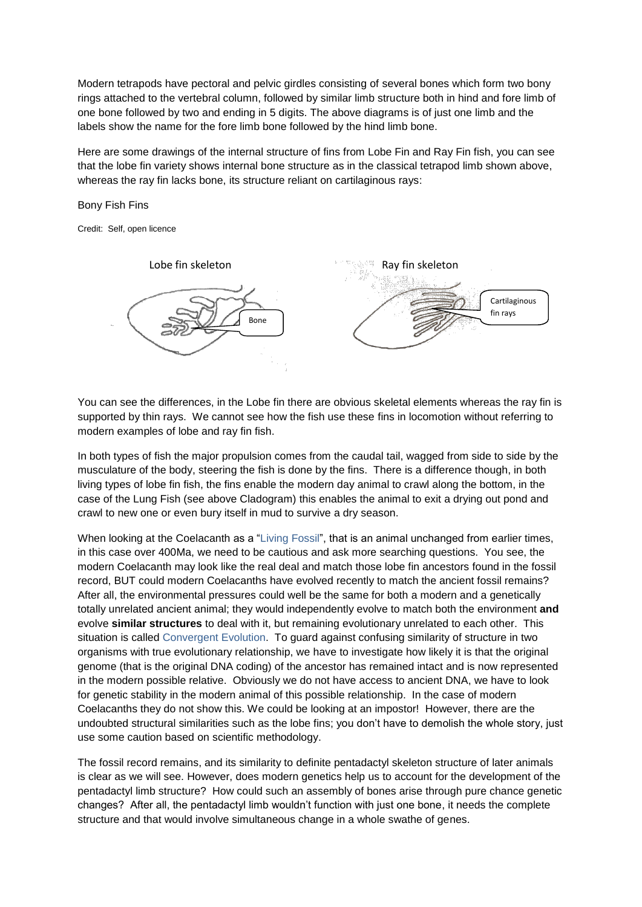Modern tetrapods have pectoral and pelvic girdles consisting of several bones which form two bony rings attached to the vertebral column, followed by similar limb structure both in hind and fore limb of one bone followed by two and ending in 5 digits. The above diagrams is of just one limb and the labels show the name for the fore limb bone followed by the hind limb bone.

Here are some drawings of the internal structure of fins from Lobe Fin and Ray Fin fish, you can see that the lobe fin variety shows internal bone structure as in the classical tetrapod limb shown above, whereas the ray fin lacks bone, its structure reliant on cartilaginous rays:

Bony Fish Fins

Credit: Self, open licence



You can see the differences, in the Lobe fin there are obvious skeletal elements whereas the ray fin is supported by thin rays. We cannot see how the fish use these fins in locomotion without referring to modern examples of lobe and ray fin fish.

In both types of fish the major propulsion comes from the caudal tail, wagged from side to side by the musculature of the body, steering the fish is done by the fins. There is a difference though, in both living types of lobe fin fish, the fins enable the modern day animal to crawl along the bottom, in the case of the Lung Fish (see above Cladogram) this enables the animal to exit a drying out pond and crawl to new one or even bury itself in mud to survive a dry season.

When looking at the Coelacanth as a "Living Fossil", that is an animal unchanged from earlier times, in this case over 400Ma, we need to be cautious and ask more searching questions. You see, the modern Coelacanth may look like the real deal and match those lobe fin ancestors found in the fossil record, BUT could modern Coelacanths have evolved recently to match the ancient fossil remains? After all, the environmental pressures could well be the same for both a modern and a genetically totally unrelated ancient animal; they would independently evolve to match both the environment **and** evolve **similar structures** to deal with it, but remaining evolutionary unrelated to each other. This situation is called Convergent Evolution. To guard against confusing similarity of structure in two organisms with true evolutionary relationship, we have to investigate how likely it is that the original genome (that is the original DNA coding) of the ancestor has remained intact and is now represented in the modern possible relative. Obviously we do not have access to ancient DNA, we have to look for genetic stability in the modern animal of this possible relationship. In the case of modern Coelacanths they do not show this. We could be looking at an impostor! However, there are the undoubted structural similarities such as the lobe fins; you don't have to demolish the whole story, just use some caution based on scientific methodology.

The fossil record remains, and its similarity to definite pentadactyl skeleton structure of later animals is clear as we will see. However, does modern genetics help us to account for the development of the pentadactyl limb structure? How could such an assembly of bones arise through pure chance genetic changes? After all, the pentadactyl limb wouldn't function with just one bone, it needs the complete structure and that would involve simultaneous change in a whole swathe of genes.